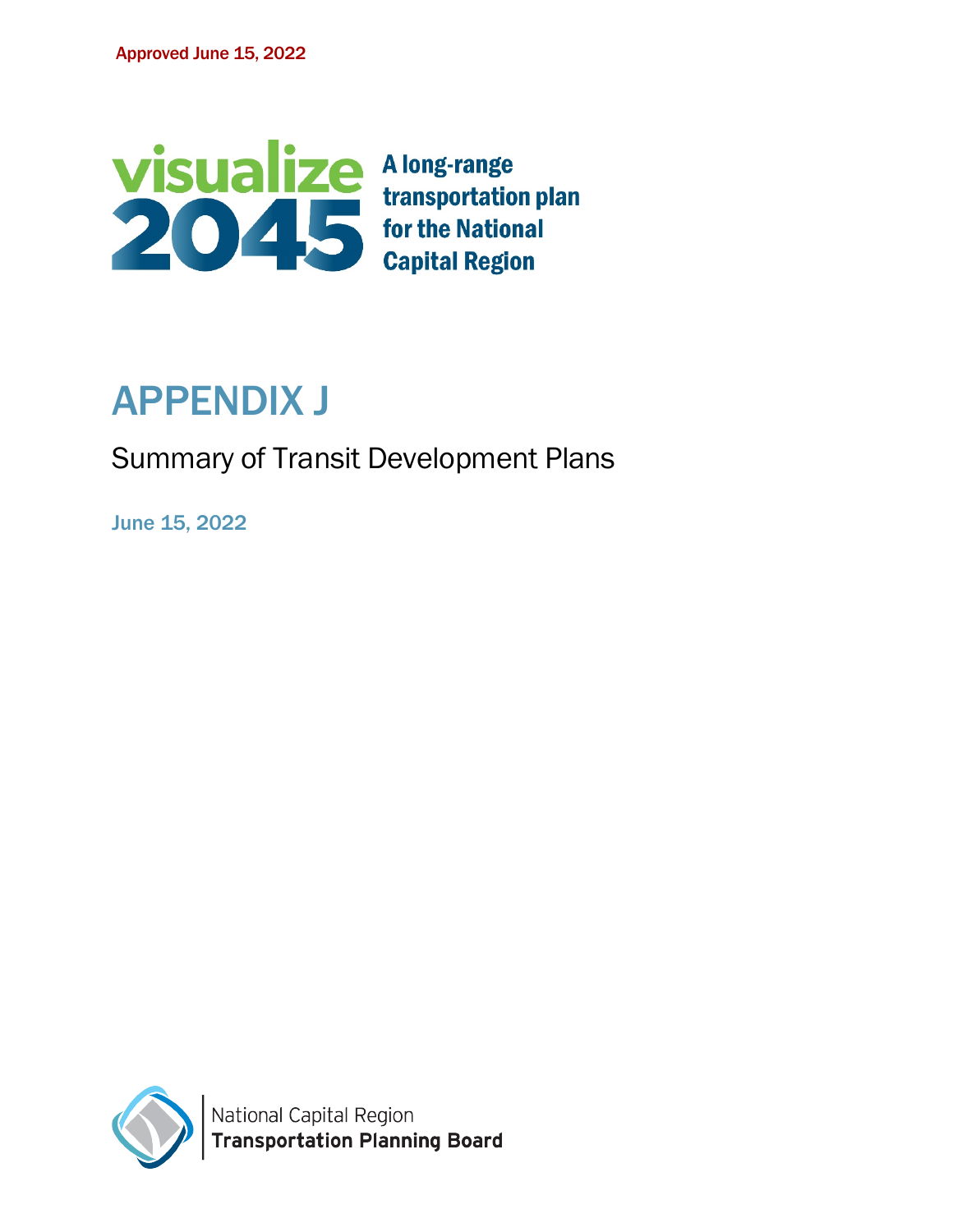

# APPENDIX J

# Summary of Transit Development Plans

June 15, 2022

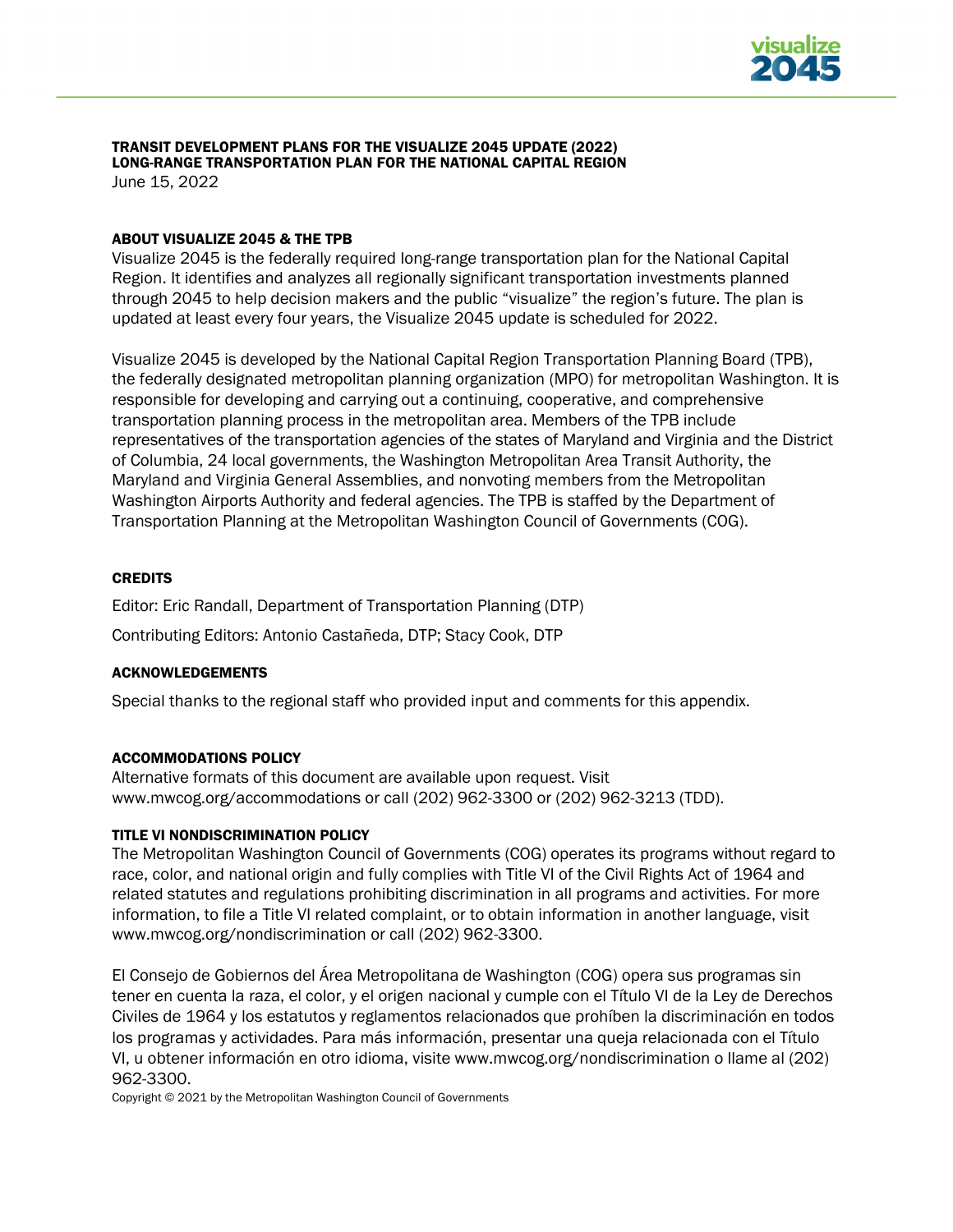

#### TRANSIT DEVELOPMENT PLANS FOR THE VISUALIZE 2045 UPDATE (2022) LONG-RANGE TRANSPORTATION PLAN FOR THE NATIONAL CAPITAL REGION June 15, 2022

ABOUT VISUALIZE 2045 & THE TPB

Visualize 2045 is the federally required long-range transportation plan for the National Capital Region. It identifies and analyzes all regionally significant transportation investments planned through 2045 to help decision makers and the public "visualize" the region's future. The plan is updated at least every four years, the Visualize 2045 update is scheduled for 2022.

Visualize 2045 is developed by the National Capital Region Transportation Planning Board (TPB), the federally designated metropolitan planning organization (MPO) for metropolitan Washington. It is responsible for developing and carrying out a continuing, cooperative, and comprehensive transportation planning process in the metropolitan area. Members of the TPB include representatives of the transportation agencies of the states of Maryland and Virginia and the District of Columbia, 24 local governments, the Washington Metropolitan Area Transit Authority, the Maryland and Virginia General Assemblies, and nonvoting members from the Metropolitan Washington Airports Authority and federal agencies. The TPB is staffed by the Department of Transportation Planning at the Metropolitan Washington Council of Governments (COG).

#### **CREDITS**

Editor: Eric Randall, Department of Transportation Planning (DTP)

Contributing Editors: Antonio Castañeda, DTP; Stacy Cook, DTP

#### ACKNOWLEDGEMENTS

Special thanks to the regional staff who provided input and comments for this appendix.

#### ACCOMMODATIONS POLICY

Alternative formats of this document are available upon request. Visit [www.mwcog.org/accommodations](http://www.mwcog.org/accommodations) or call (202) 962-3300 or (202) 962-3213 (TDD).

#### TITLE VI NONDISCRIMINATION POLICY

The Metropolitan Washington Council of Governments (COG) operates its programs without regard to race, color, and national origin and fully complies with Title VI of the Civil Rights Act of 1964 and related statutes and regulations prohibiting discrimination in all programs and activities. For more information, to file a Title VI related complaint, or to obtain information in another language, visit www.mwcog.org/nondiscrimination or call (202) 962-3300.

El Consejo de Gobiernos del Área Metropolitana de Washington (COG) opera sus programas sin tener en cuenta la raza, el color, y el origen nacional y cumple con el Título VI de la Ley de Derechos Civiles de 1964 y los estatutos y reglamentos relacionados que prohíben la discriminación en todos los programas y actividades. Para más información, presentar una queja relacionada con el Título VI, u obtener información en otro idioma, visite www.mwcog.org/nondiscrimination o llame al (202) 962-3300.

Copyright © 2021 by the Metropolitan Washington Council of Governments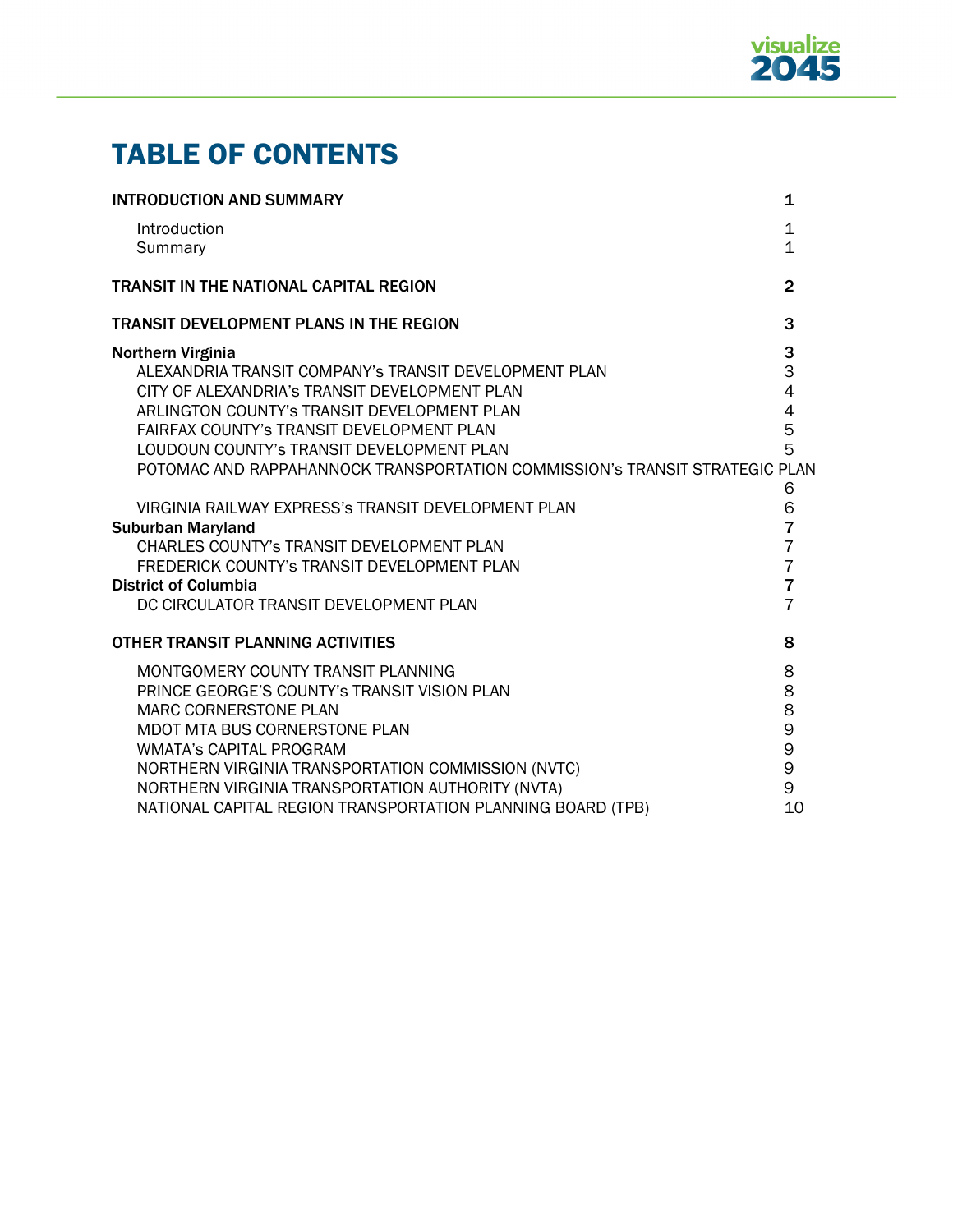

# TABLE OF CONTENTS

| <b>INTRODUCTION AND SUMMARY</b>                                             | $\mathbf{1}$   |
|-----------------------------------------------------------------------------|----------------|
| Introduction                                                                | $\mathbf 1$    |
| Summary                                                                     | $\overline{1}$ |
| <b>TRANSIT IN THE NATIONAL CAPITAL REGION</b>                               | $\overline{2}$ |
| <b>TRANSIT DEVELOPMENT PLANS IN THE REGION</b>                              | 3              |
| Northern Virginia                                                           | 3              |
| ALEXANDRIA TRANSIT COMPANY'S TRANSIT DEVELOPMENT PLAN                       | 3              |
| CITY OF ALEXANDRIA's TRANSIT DEVELOPMENT PLAN                               | $\overline{4}$ |
| ARLINGTON COUNTY'S TRANSIT DEVELOPMENT PLAN                                 | $\overline{4}$ |
| <b>FAIRFAX COUNTY'S TRANSIT DEVELOPMENT PLAN</b>                            | 5              |
| LOUDOUN COUNTY'S TRANSIT DEVELOPMENT PLAN                                   | 5              |
| POTOMAC AND RAPPAHANNOCK TRANSPORTATION COMMISSION'S TRANSIT STRATEGIC PLAN | 6              |
| VIRGINIA RAILWAY EXPRESS'S TRANSIT DEVELOPMENT PLAN                         | 6              |
| <b>Suburban Maryland</b>                                                    | $\overline{7}$ |
| CHARLES COUNTY'S TRANSIT DEVELOPMENT PLAN                                   | $\overline{7}$ |
| FREDERICK COUNTY'S TRANSIT DEVELOPMENT PLAN                                 | $\overline{7}$ |
| <b>District of Columbia</b>                                                 | $\overline{7}$ |
| DC CIRCULATOR TRANSIT DEVELOPMENT PLAN                                      | $\overline{7}$ |
| <b>OTHER TRANSIT PLANNING ACTIVITIES</b>                                    | 8              |
| MONTGOMERY COUNTY TRANSIT PLANNING                                          | 8              |
| PRINCE GEORGE'S COUNTY'S TRANSIT VISION PLAN                                | 8              |
| <b>MARC CORNERSTONE PLAN</b>                                                | 8              |
| MDOT MTA BUS CORNERSTONE PLAN                                               | 9              |
| <b>WMATA's CAPITAL PROGRAM</b>                                              | 9              |
| NORTHERN VIRGINIA TRANSPORTATION COMMISSION (NVTC)                          | 9              |
| NORTHERN VIRGINIA TRANSPORTATION AUTHORITY (NVTA)                           | 9              |
| NATIONAL CAPITAL REGION TRANSPORTATION PLANNING BOARD (TPB)                 | 10             |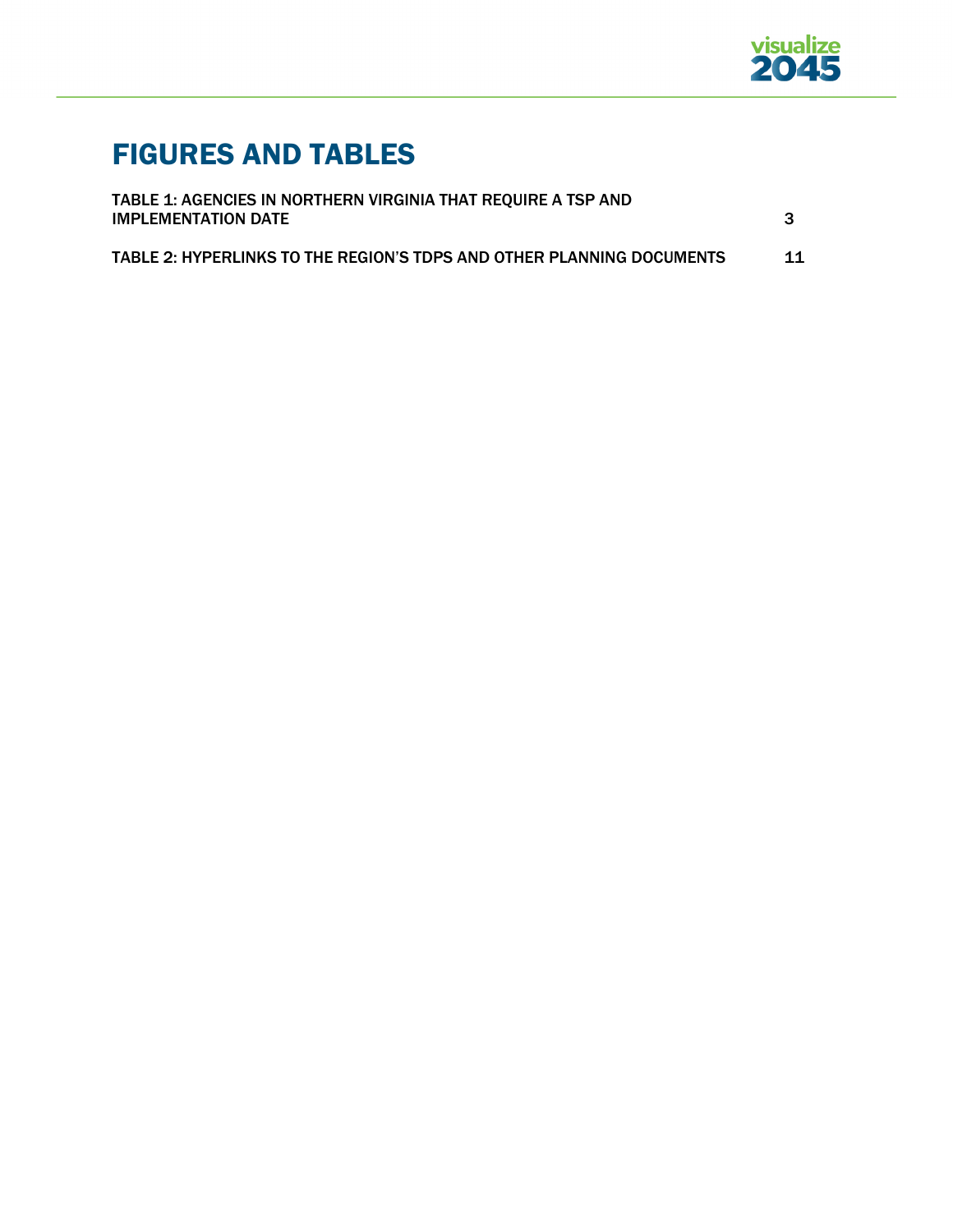

# FIGURES AND TABLES

| TABLE 1: AGENCIES IN NORTHERN VIRGINIA THAT REQUIRE A TSP AND         |    |
|-----------------------------------------------------------------------|----|
| <b>IMPLEMENTATION DATE</b>                                            |    |
| TABLE 2: HYPERLINKS TO THE REGION'S TDPS AND OTHER PLANNING DOCUMENTS | 11 |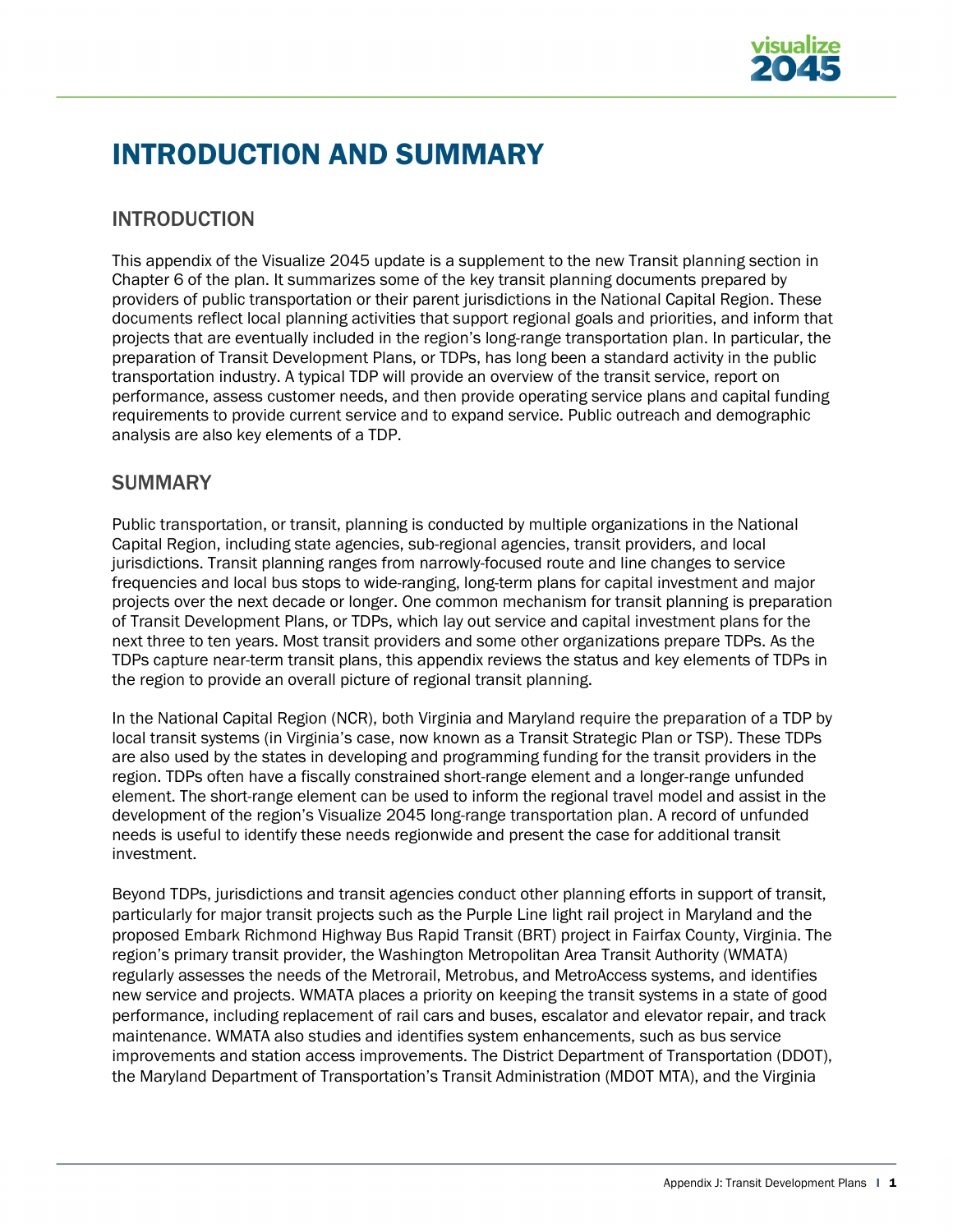

# INTRODUCTION AND SUMMARY

# INTRODUCTION

This appendix of the Visualize 2045 update is a supplement to the new Transit planning section in Chapter 6 of the plan. It summarizes some of the key transit planning documents prepared by providers of public transportation or their parent jurisdictions in the National Capital Region. These documents reflect local planning activities that support regional goals and priorities, and inform that projects that are eventually included in the region's long-range transportation plan. In particular, the preparation of Transit Development Plans, or TDPs, has long been a standard activity in the public transportation industry. A typical TDP will provide an overview of the transit service, report on performance, assess customer needs, and then provide operating service plans and capital funding requirements to provide current service and to expand service. Public outreach and demographic analysis are also key elements of a TDP.

# **SUMMARY**

Public transportation, or transit, planning is conducted by multiple organizations in the National Capital Region, including state agencies, sub-regional agencies, transit providers, and local jurisdictions. Transit planning ranges from narrowly-focused route and line changes to service frequencies and local bus stops to wide-ranging, long-term plans for capital investment and major projects over the next decade or longer. One common mechanism for transit planning is preparation of Transit Development Plans, or TDPs, which lay out service and capital investment plans for the next three to ten years. Most transit providers and some other organizations prepare TDPs. As the TDPs capture near-term transit plans, this appendix reviews the status and key elements of TDPs in the region to provide an overall picture of regional transit planning.

In the National Capital Region (NCR), both Virginia and Maryland require the preparation of a TDP by local transit systems (in Virginia's case, now known as a Transit Strategic Plan or TSP). These TDPs are also used by the states in developing and programming funding for the transit providers in the region. TDPs often have a fiscally constrained short-range element and a longer-range unfunded element. The short-range element can be used to inform the regional travel model and assist in the development of the region's Visualize 2045 long-range transportation plan. A record of unfunded needs is useful to identify these needs regionwide and present the case for additional transit investment.

Beyond TDPs, jurisdictions and transit agencies conduct other planning efforts in support of transit, particularly for major transit projects such as the Purple Line light rail project in Maryland and the proposed Embark Richmond Highway Bus Rapid Transit (BRT) project in Fairfax County, Virginia. The region's primary transit provider, the Washington Metropolitan Area Transit Authority (WMATA) regularly assesses the needs of the Metrorail, Metrobus, and MetroAccess systems, and identifies new service and projects. WMATA places a priority on keeping the transit systems in a state of good performance, including replacement of rail cars and buses, escalator and elevator repair, and track maintenance. WMATA also studies and identifies system enhancements, such as bus service improvements and station access improvements. The District Department of Transportation (DDOT), the Maryland Department of Transportation's Transit Administration (MDOT MTA), and the Virginia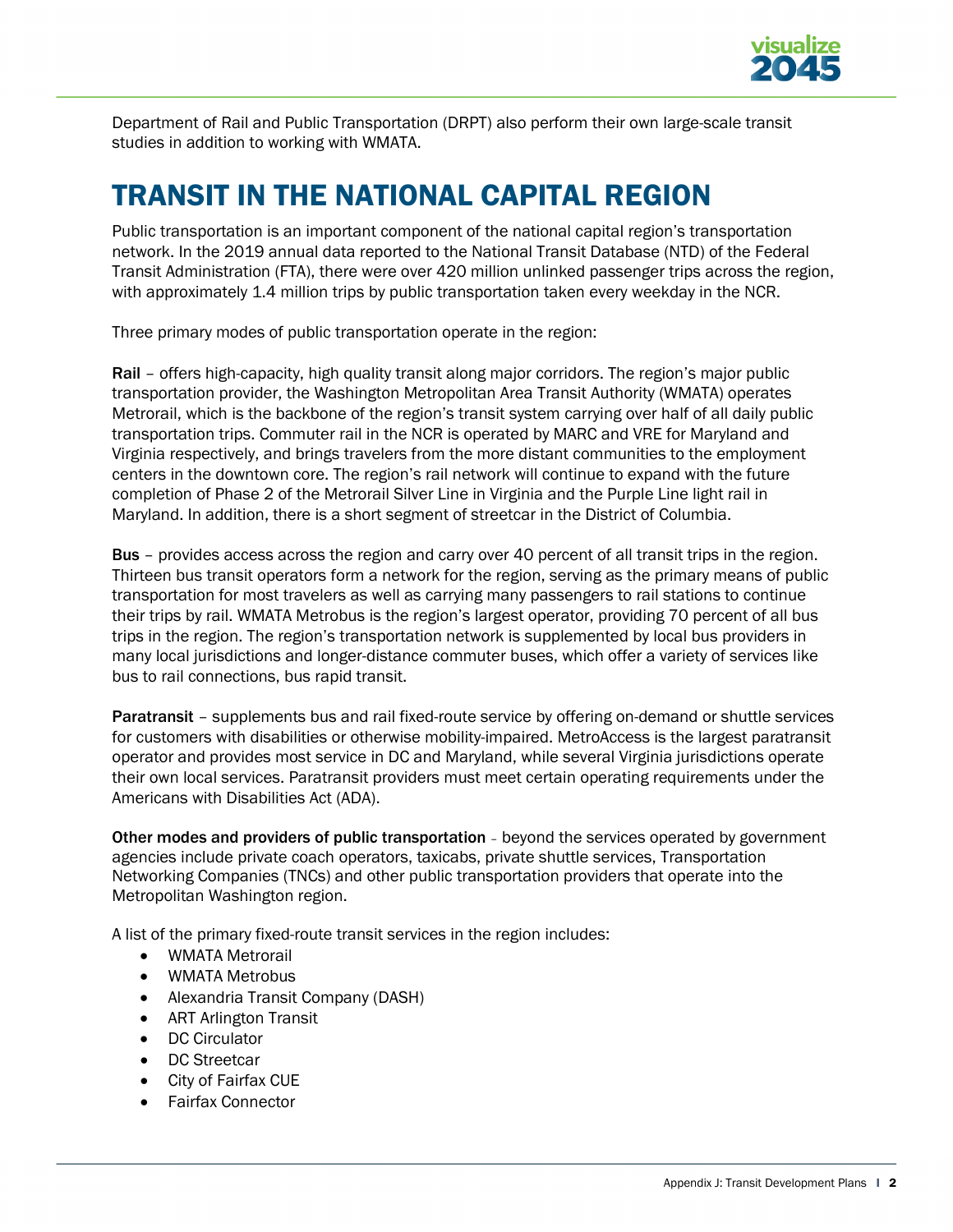

Department of Rail and Public Transportation (DRPT) also perform their own large-scale transit studies in addition to working with WMATA.

# TRANSIT IN THE NATIONAL CAPITAL REGION

Public transportation is an important component of the national capital region's transportation network. In the 2019 annual data reported to the National Transit Database (NTD) of the Federal Transit Administration (FTA), there were over 420 million unlinked passenger trips across the region, with approximately 1.4 million trips by public transportation taken every weekday in the NCR.

Three primary modes of public transportation operate in the region:

Rail – offers high-capacity, high quality transit along major corridors. The region's major public transportation provider, the Washington Metropolitan Area Transit Authority (WMATA) operates Metrorail, which is the backbone of the region's transit system carrying over half of all daily public transportation trips. Commuter rail in the NCR is operated by MARC and VRE for Maryland and Virginia respectively, and brings travelers from the more distant communities to the employment centers in the downtown core. The region's rail network will continue to expand with the future completion of Phase 2 of the Metrorail Silver Line in Virginia and the Purple Line light rail in Maryland. In addition, there is a short segment of streetcar in the District of Columbia.

Bus – provides access across the region and carry over 40 percent of all transit trips in the region. Thirteen bus transit operators form a network for the region, serving as the primary means of public transportation for most travelers as well as carrying many passengers to rail stations to continue their trips by rail. WMATA Metrobus is the region's largest operator, providing 70 percent of all bus trips in the region. The region's transportation network is supplemented by local bus providers in many local jurisdictions and longer-distance commuter buses, which offer a variety of services like bus to rail connections, bus rapid transit.

Paratransit – supplements bus and rail fixed-route service by offering on-demand or shuttle services for customers with disabilities or otherwise mobility-impaired. MetroAccess is the largest paratransit operator and provides most service in DC and Maryland, while several Virginia jurisdictions operate their own local services. Paratransit providers must meet certain operating requirements under the Americans with Disabilities Act (ADA).

Other modes and providers of public transportation – beyond the services operated by government agencies include private coach operators, taxicabs, private shuttle services, Transportation Networking Companies (TNCs) and other public transportation providers that operate into the Metropolitan Washington region.

A list of the primary fixed-route transit services in the region includes:

- WMATA Metrorail
- WMATA Metrobus
- Alexandria Transit Company (DASH)
- ART Arlington Transit
- DC Circulator
- DC Streetcar
- City of Fairfax CUE
- Fairfax Connector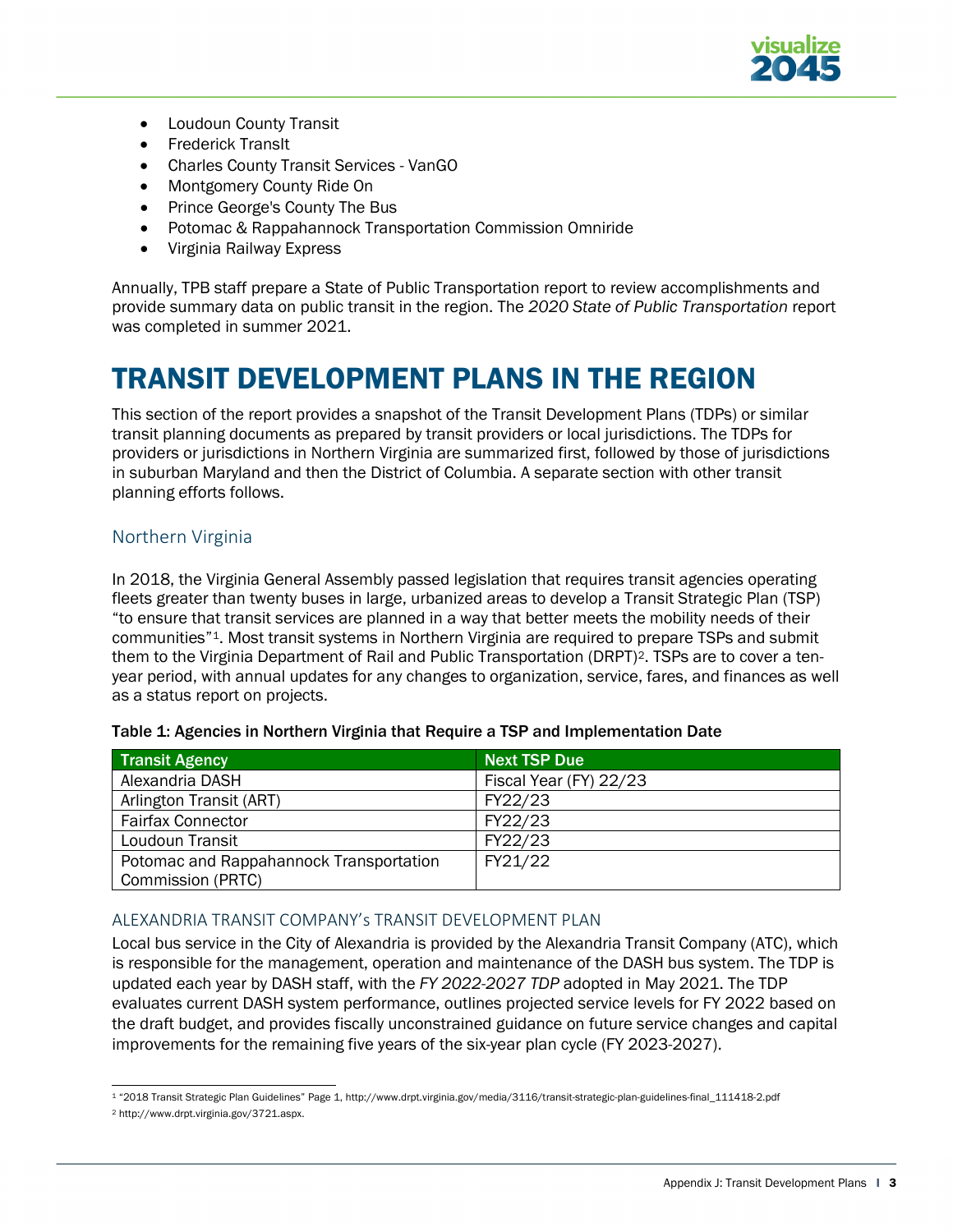

- Loudoun County Transit
- Frederick TransIt
- Charles County Transit Services VanGO
- Montgomery County Ride On
- Prince George's County The Bus
- Potomac & Rappahannock Transportation Commission Omniride
- Virginia Railway Express

Annually, TPB staff prepare a State of Public Transportation report to review accomplishments and provide summary data on public transit in the region. The *[2020 State of Public Transportation](https://www.mwcog.org/assets/1/6/2020_State_of_Public_Transportation_Report_Final.pdf)* report was completed in summer 2021.

# TRANSIT DEVELOPMENT PLANS IN THE REGION

This section of the report provides a snapshot of the Transit Development Plans (TDPs) or similar transit planning documents as prepared by transit providers or local jurisdictions. The TDPs for providers or jurisdictions in Northern Virginia are summarized first, followed by those of jurisdictions in suburban Maryland and then the District of Columbia. A separate section with other transit planning efforts follows.

# Northern Virginia

In 2018, the Virginia General Assembly passed legislation that requires transit agencies operating fleets greater than twenty buses in large, urbanized areas to develop a Transit Strategic Plan (TSP) "to ensure that transit services are planned in a way that better meets the mobility needs of their communities"[1.](#page-6-0) Most transit systems in Northern Virginia are required to prepare TSPs and submit them to the Virginia Department of Rail and Public Transportation (DRPT)[2](#page-6-1). TSPs are to cover a tenyear period, with annual updates for any changes to organization, service, fares, and finances as well as a status report on projects.

| <b>Transit Agency</b>                   | <b>Next TSP Due</b>    |
|-----------------------------------------|------------------------|
| Alexandria DASH                         | Fiscal Year (FY) 22/23 |
| Arlington Transit (ART)                 | FY22/23                |
| <b>Fairfax Connector</b>                | FY22/23                |
| Loudoun Transit                         | FY22/23                |
| Potomac and Rappahannock Transportation | FY21/22                |
| Commission (PRTC)                       |                        |

# ALEXANDRIA TRANSIT COMPANY's TRANSIT DEVELOPMENT PLAN

Local bus service in the City of Alexandria is provided by the Alexandria Transit Company (ATC), which is responsible for the management, operation and maintenance of the DASH bus system. The TDP is updated each year by DASH staff, with the *[FY 2022-2027 TDP](https://www.dashbus.com/sites/default/files/FY22%20ATC%20Transit%20Development%20Plan%20-%20FINAL%20with%20Appendices.pdf)* adopted in May 2021. The TDP evaluates current DASH system performance, outlines projected service levels for FY 2022 based on the draft budget, and provides fiscally unconstrained guidance on future service changes and capital improvements for the remaining five years of the six-year plan cycle (FY 2023-2027).

<span id="page-6-0"></span><sup>1 &</sup>quot;2018 Transit Strategic Plan Guidelines" Page 1, http://www.drpt.virginia.gov/media/3116/transit-strategic-plan-guidelines-final\_111418-2.pdf

<span id="page-6-1"></span><sup>2</sup> [http://www.drpt.virginia.gov/3721.aspx.](http://www.drpt.virginia.gov/3721.aspx)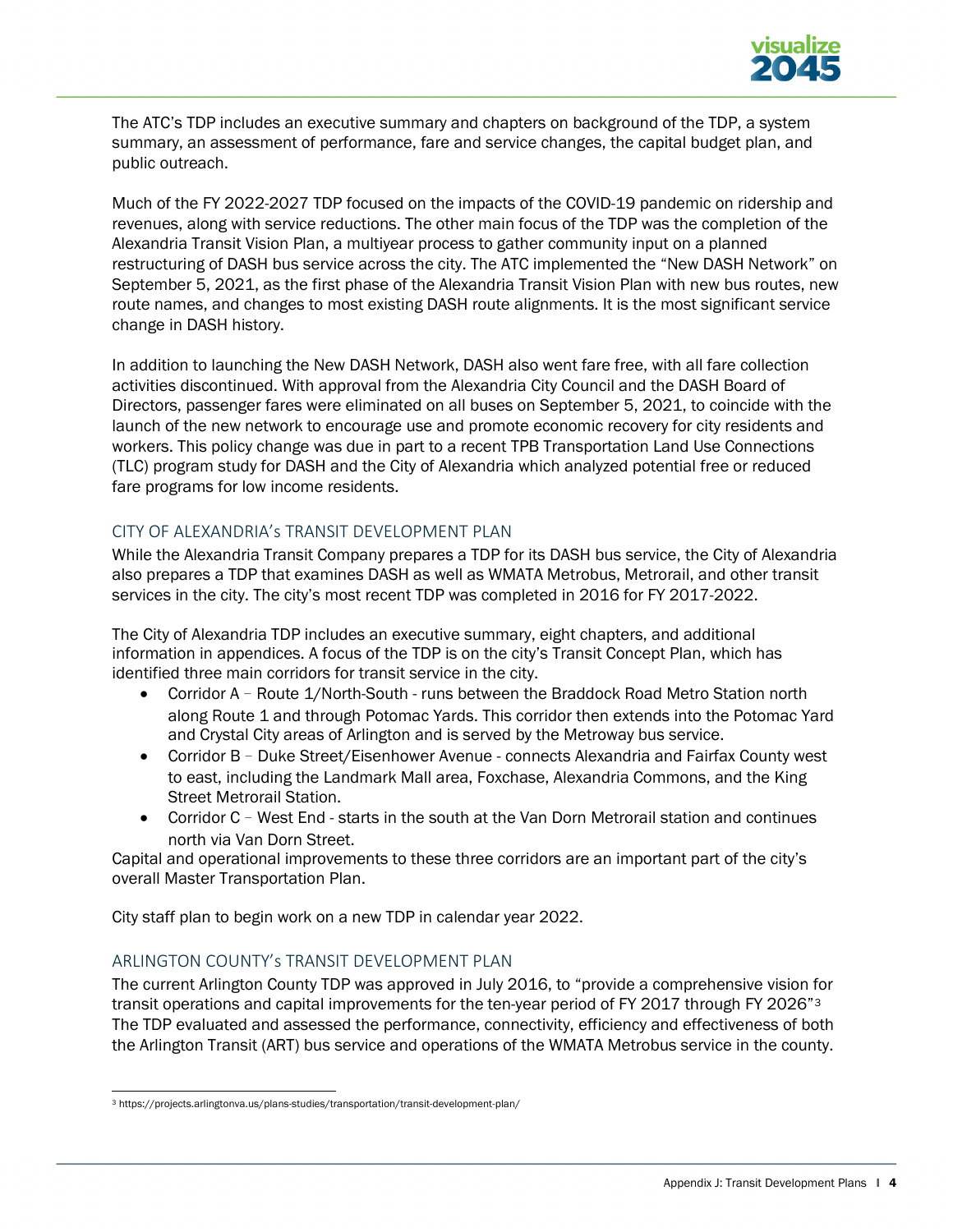

The ATC's TDP includes an executive summary and chapters on background of the TDP, a system summary, an assessment of performance, fare and service changes, the capital budget plan, and public outreach.

Much of the FY 2022-2027 TDP focused on the impacts of the COVID-19 pandemic on ridership and revenues, along with service reductions. The other main focus of the TDP was the completion of the [Alexandria Transit Vision Plan,](https://www.alexandriava.gov/uploadedFiles/tes/Alexandria%20Transit%20Vision%20Final%20Report%20_2020-02-24.pdf) a multiyear process to gather community input on a planned restructuring of DASH bus service across the city. The ATC implemented the "New DASH Network" on September 5, 2021, as the first phase of the Alexandria Transit Vision Plan with new bus routes, new route names, and changes to most existing DASH route alignments. It is the most significant service change in DASH history.

In addition to launching the New DASH Network, DASH also went fare free, with all fare collection activities discontinued. With approval from the Alexandria City Council and the DASH Board of Directors, passenger fares were eliminated on all buses on September 5, 2021, to coincide with the launch of the new network to encourage use and promote economic recovery for city residents and workers. This policy change was due in part to a recent TPB Transportation Land Use Connections (TLC) program study for DASH and the City of Alexandria which analyzed potential free or reduced fare programs for low income residents.

# CITY OF ALEXANDRIA's TRANSIT DEVELOPMENT PLAN

While the Alexandria Transit Company prepares a TDP for its DASH bus service, the City of Alexandria also prepares a TDP that examines DASH as well as WMATA Metrobus, Metrorail, and other transit services in the city. The city's most recent TDP was completed in 2016 for [FY 2017-2022.](https://www.alexandriava.gov/uploadedFiles/tes/info/City%20of%20Alexandria%20Transit%20Development%20Plan%20(TDP).pdf)

The City of Alexandria TDP includes an executive summary, eight chapters, and additional information in appendices. A focus of the TDP is on the city's Transit Concept Plan, which has identified three main corridors for transit service in the city.

- Corridor A Route 1/North-South runs between the Braddock Road Metro Station north along Route 1 and through Potomac Yards. This corridor then extends into the Potomac Yard and Crystal City areas of Arlington and is served by the Metroway bus service.
- Corridor B Duke Street/Eisenhower Avenue connects Alexandria and Fairfax County west to east, including the Landmark Mall area, Foxchase, Alexandria Commons, and the King Street Metrorail Station.
- Corridor C West End starts in the south at the Van Dorn Metrorail station and continues north via Van Dorn Street.

Capital and operational improvements to these three corridors are an important part of the city's overall Master Transportation Plan.

City staff plan to begin work on a new TDP in calendar year 2022.

# ARLINGTON COUNTY's TRANSIT DEVELOPMENT PLAN

The current [Arlington County TDP](https://projects.arlingtonva.us/plans-studies/transportation/transit-development-plan/) was approved in July 2016, to "provide a comprehensive vision for transit operations and capital improvements for the ten-year period of FY 2017 through FY 2026"<sup>[3](#page-7-0)</sup> The TDP evaluated and assessed the performance, connectivity, efficiency and effectiveness of both the Arlington Transit (ART) bus service and operations of the WMATA Metrobus service in the county.

<span id="page-7-0"></span><sup>3</sup> https://projects.arlingtonva.us/plans-studies/transportation/transit-development-plan/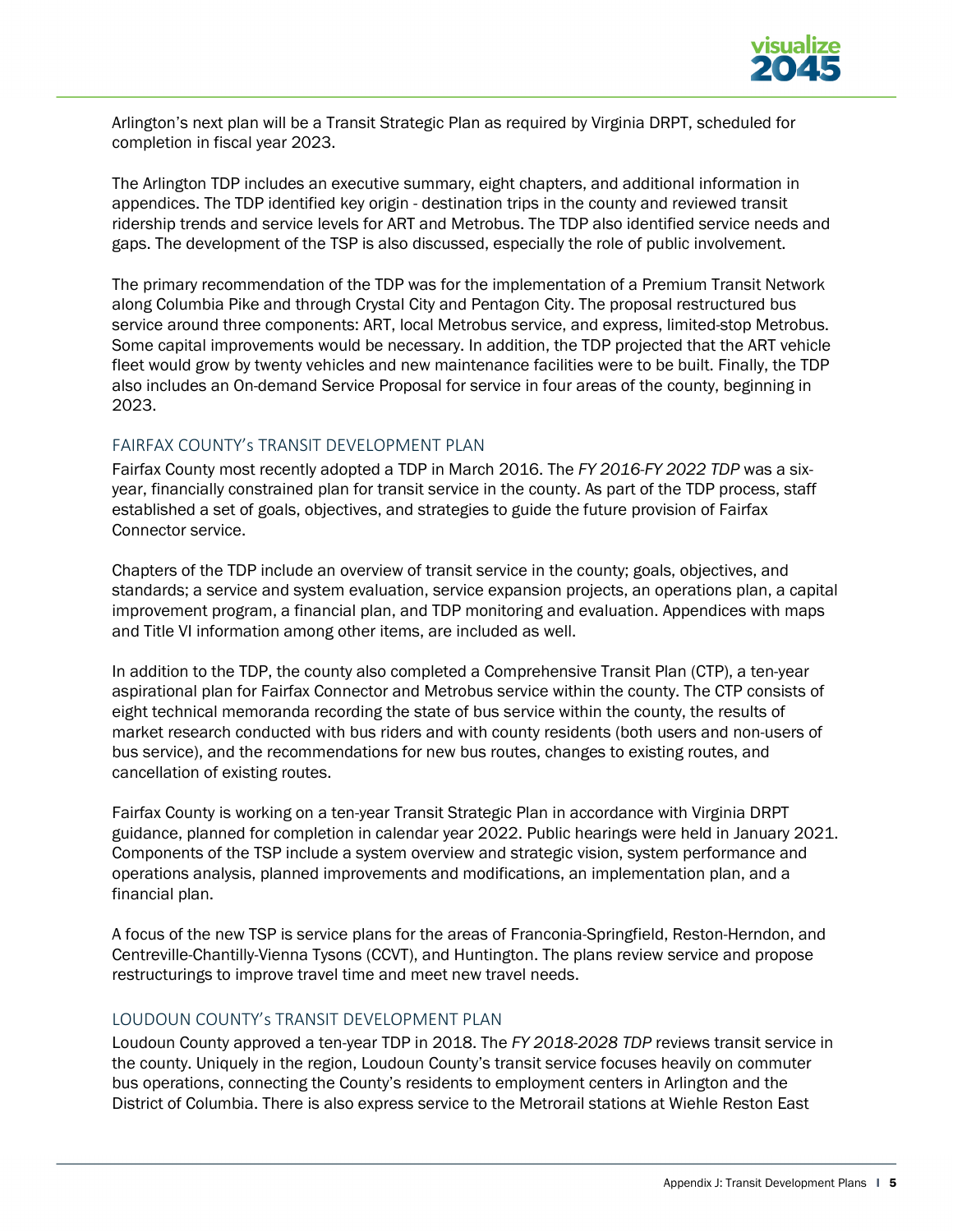

Arlington's next plan will be a Transit Strategic Plan as required by Virginia DRPT, scheduled for completion in fiscal year 2023.

The Arlington TDP includes an executive summary, eight chapters, and additional information in appendices. The TDP identified key origin - destination trips in the county and reviewed transit ridership trends and service levels for ART and Metrobus. The TDP also identified service needs and gaps. The development of the TSP is also discussed, especially the role of public involvement.

The primary recommendation of the TDP was for the implementation of a Premium Transit Network along Columbia Pike and through Crystal City and Pentagon City. The proposal restructured bus service around three components: ART, local Metrobus service, and express, limited-stop Metrobus. Some capital improvements would be necessary. In addition, the TDP projected that the ART vehicle fleet would grow by twenty vehicles and new maintenance facilities were to be built. Finally, the TDP also includes an On-demand Service Proposal for service in four areas of the county, beginning in 2023.

### FAIRFAX COUNTY's TRANSIT DEVELOPMENT PLAN

Fairfax County most recently adopted a TDP in March 2016. The *[FY 2016-FY 2022 TDP](https://www.fairfaxcounty.gov/transportation/sites/transportation/files/assets/documents/pdf/transportation%20projects,%20studies%20and%20plans/transit_development_plan_fy16-22.pdf)* was a sixyear, financially constrained plan for transit service in the county. As part of the TDP process, staff established a set of goals, objectives, and strategies to guide the future provision of Fairfax Connector service.

Chapters of the TDP include an overview of transit service in the county; goals, objectives, and standards; a service and system evaluation, service expansion projects, an operations plan, a capital improvement program, a financial plan, and TDP monitoring and evaluation. Appendices with maps and Title VI information among other items, are included as well.

In addition to the TDP, the county also completed a Comprehensive Transit Plan (CTP), a ten-year aspirational plan for Fairfax Connector and Metrobus service within the county. The CTP consists of eight technical memoranda recording the state of bus service within the county, the results of market research conducted with bus riders and with county residents (both users and non-users of bus service), and the recommendations for new bus routes, changes to existing routes, and cancellation of existing routes.

Fairfax County is working on a ten-year [Transit Strategic Plan](https://www.fairfaxcounty.gov/connector/tsp) in accordance with Virginia DRPT guidance, planned for completion in calendar year 2022. Public hearings were held in January 2021. Components of the TSP include a system overview and strategic vision, system performance and operations analysis, planned improvements and modifications, an implementation plan, and a financial plan.

A focus of the new TSP is service plans for the areas of Franconia-Springfield, Reston-Herndon, and Centreville-Chantilly-Vienna Tysons (CCVT), and Huntington. The plans review service and propose restructurings to improve travel time and meet new travel needs.

### LOUDOUN COUNTY's TRANSIT DEVELOPMENT PLAN

Loudoun County approved a ten-year TDP in 2018. The *[FY 2018-2028 TDP](https://www.loudoun.gov/3444/Transit-Development-Plan)* reviews transit service in the county. Uniquely in the region, Loudoun County's transit service focuses heavily on commuter bus operations, connecting the County's residents to employment centers in Arlington and the District of Columbia. There is also express service to the Metrorail stations at Wiehle Reston East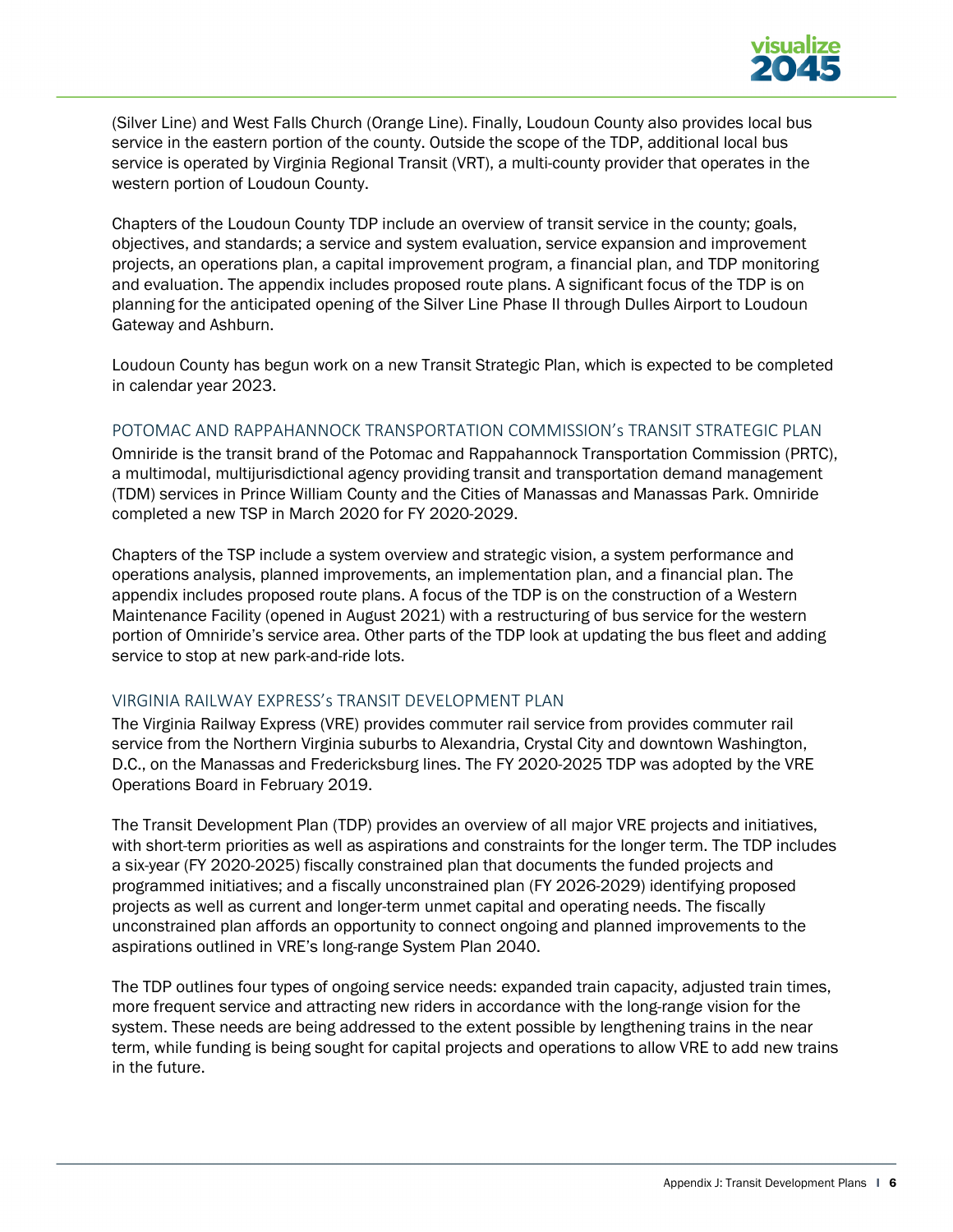

(Silver Line) and West Falls Church (Orange Line). Finally, Loudoun County also provides local bus service in the eastern portion of the county. Outside the scope of the TDP, additional local bus service is operated b[y Virginia Regional Transit \(VRT\),](https://vatransit.org/) a multi-county provider that operates in the western portion of Loudoun County.

Chapters of the Loudoun County TDP include an overview of transit service in the county; goals, objectives, and standards; a service and system evaluation, service expansion and improvement projects, an operations plan, a capital improvement program, a financial plan, and TDP monitoring and evaluation. The appendix includes proposed route plans. A significant focus of the TDP is on planning for the anticipated opening of the Silver Line Phase II through Dulles Airport to Loudoun Gateway and Ashburn.

Loudoun County has begun work on a new Transit Strategic Plan, which is expected to be completed in calendar year 2023.

#### POTOMAC AND RAPPAHANNOCK TRANSPORTATION COMMISSION's TRANSIT STRATEGIC PLAN

Omniride is the transit brand of the Potomac and Rappahannock Transportation Commission (PRTC), a multimodal, multijurisdictional agency providing transit and transportation demand management (TDM) services in Prince William County and the Cities of Manassas and Manassas Park. Omniride completed a new TSP in March 2020 for [FY 2020-2029.](https://omniride.com/omniride/assets/File/OR20_TSP_FullReport_2020-03-23_DRAFT.pdf)

Chapters of the TSP include a system overview and strategic vision, a system performance and operations analysis, planned improvements, an implementation plan, and a financial plan. The appendix includes proposed route plans. A focus of the TDP is on the construction of a Western Maintenance Facility (opened in August 2021) with a restructuring of bus service for the western portion of Omniride's service area. Other parts of the TDP look at updating the bus fleet and adding service to stop at new park-and-ride lots.

#### VIRGINIA RAILWAY EXPRESS's TRANSIT DEVELOPMENT PLAN

The Virginia Railway Express (VRE) provides commuter rail service from provides commuter rail service from the Northern Virginia suburbs to Alexandria, Crystal City and downtown Washington, D.C., on the Manassas and Fredericksburg lines. The FY [2020-2025 TDP](https://www.vre.org/about/studies-and-reports/transit-development-plan/) was adopted by the VRE Operations Board in February 2019.

The Transit Development Plan (TDP) provides an overview of all major VRE projects and initiatives, with short-term priorities as well as aspirations and constraints for the longer term. The TDP includes a six-year (FY 2020-2025) fiscally constrained plan that documents the funded projects and programmed initiatives; and a fiscally unconstrained plan (FY 2026-2029) identifying proposed projects as well as current and longer-term unmet capital and operating needs. The fiscally unconstrained plan affords an opportunity to connect ongoing and planned improvements to the aspirations outlined in VRE's long-range System Plan 2040.

The TDP outlines four types of ongoing service needs: expanded train capacity, adjusted train times, more frequent service and attracting new riders in accordance with the long-range vision for the system. These needs are being addressed to the extent possible by lengthening trains in the near term, while funding is being sought for capital projects and operations to allow VRE to add new trains in the future.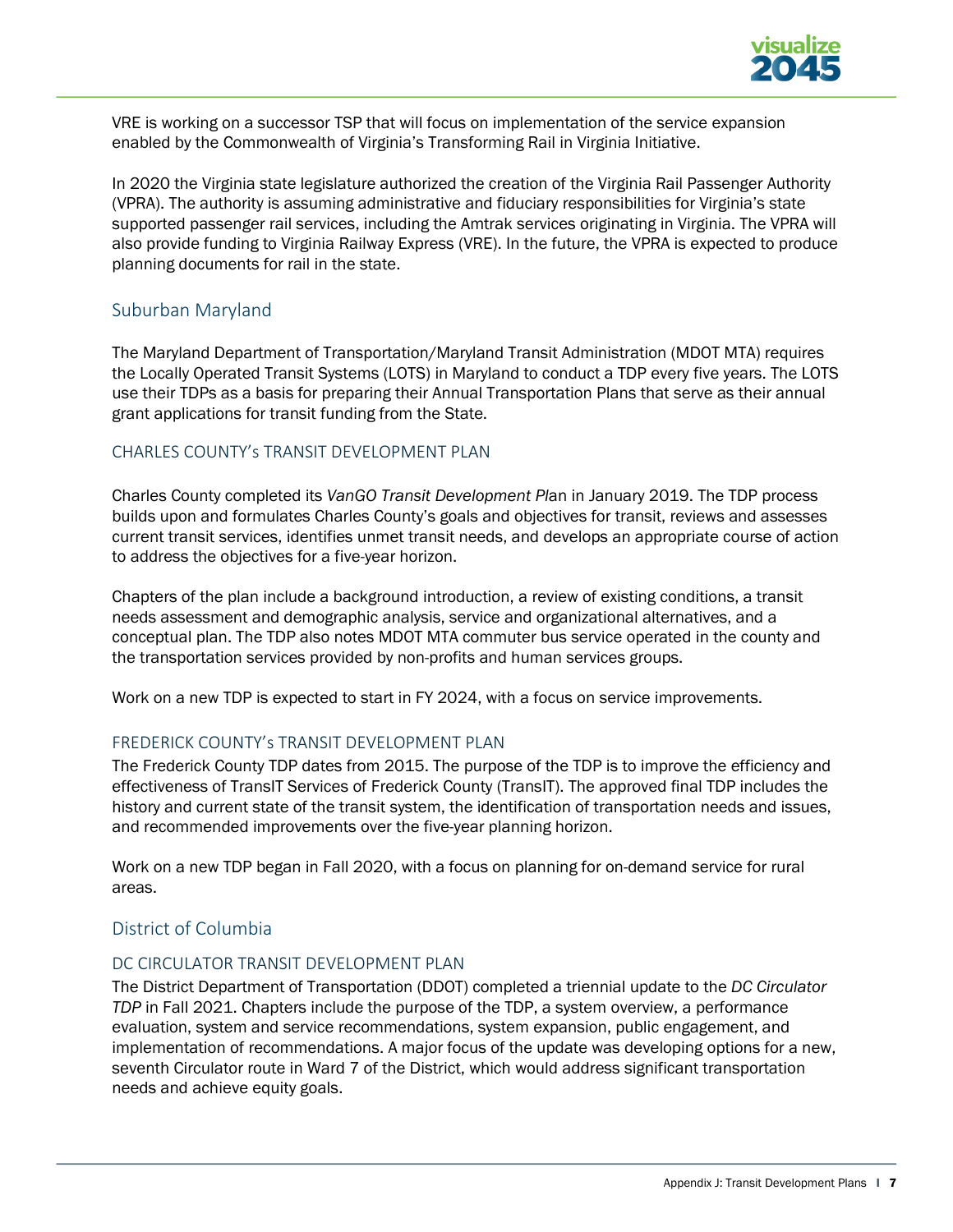

VRE is working on a successor TSP that will focus on implementation of the service expansion enabled by the Commonwealth of Virginia's [Transforming Rail in Virginia Initiative.](https://transformingrailva.com/)

In 2020 the Virginia state legislature authorized the creation of the [Virginia Rail Passenger Authority](http://vpra.virginia.gov/) (VPRA). The authority is assuming administrative and fiduciary responsibilities for Virginia's state supported passenger rail services, including the Amtrak services originating in Virginia. The VPRA will also provide funding to Virginia Railway Express (VRE). In the future, the VPRA is expected to produce planning documents for rail in the state.

### Suburban Maryland

The Maryland Department of Transportation/Maryland Transit Administration (MDOT MTA) requires the Locally Operated Transit Systems (LOTS) in Maryland to conduct a TDP every five years. The LOTS use their TDPs as a basis for preparing their Annual Transportation Plans that serve as their annual grant applications for transit funding from the State.

### CHARLES COUNTY's TRANSIT DEVELOPMENT PLAN

Charles County completed its *[VanGO Transit Development Pl](https://www.charlescountymd.gov/home/showpublisheddocument/3485/637172953581570000)*an in January 2019. The TDP process builds upon and formulates Charles County's goals and objectives for transit, reviews and assesses current transit services, identifies unmet transit needs, and develops an appropriate course of action to address the objectives for a five-year horizon.

Chapters of the plan include a background introduction, a review of existing conditions, a transit needs assessment and demographic analysis, service and organizational alternatives, and a conceptual plan. The TDP also notes MDOT MTA commuter bus service operated in the county and the transportation services provided by non-profits and human services groups.

Work on a new TDP is expected to start in FY 2024, with a focus on service improvements.

# FREDERICK COUNTY's TRANSIT DEVELOPMENT PLAN

The [Frederick County TDP](https://www.frederickcountymd.gov/DocumentCenter/View/271760/Frederick-County-Transit-Dev-Plan_2015?bidId=) dates from 2015. The purpose of the TDP is to improve the efficiency and effectiveness of TransIT Services of Frederick County (TransIT). The approved final TDP includes the history and current state of the transit system, the identification of transportation needs and issues, and recommended improvements over the five-year planning horizon.

Work on a new TDP began in Fall 2020, with a focus on planning for on-demand service for rural areas.

# District of Columbia

#### DC CIRCULATOR TRANSIT DEVELOPMENT PLAN

The District Department of Transportation (DDOT) completed a triennial update to the *[DC Circulator](https://www.dccirculator.com/wp-content/uploads/2021/04/2020-TDP-Update_04.12.21-Updated-Final.pdf)  [TDP](https://www.dccirculator.com/wp-content/uploads/2021/04/2020-TDP-Update_04.12.21-Updated-Final.pdf)* in Fall 2021. Chapters include the purpose of the TDP, a system overview, a performance evaluation, system and service recommendations, system expansion, public engagement, and implementation of recommendations. A major focus of the update was developing options for a new, seventh Circulator route in Ward 7 of the District, which would address significant transportation needs and achieve equity goals.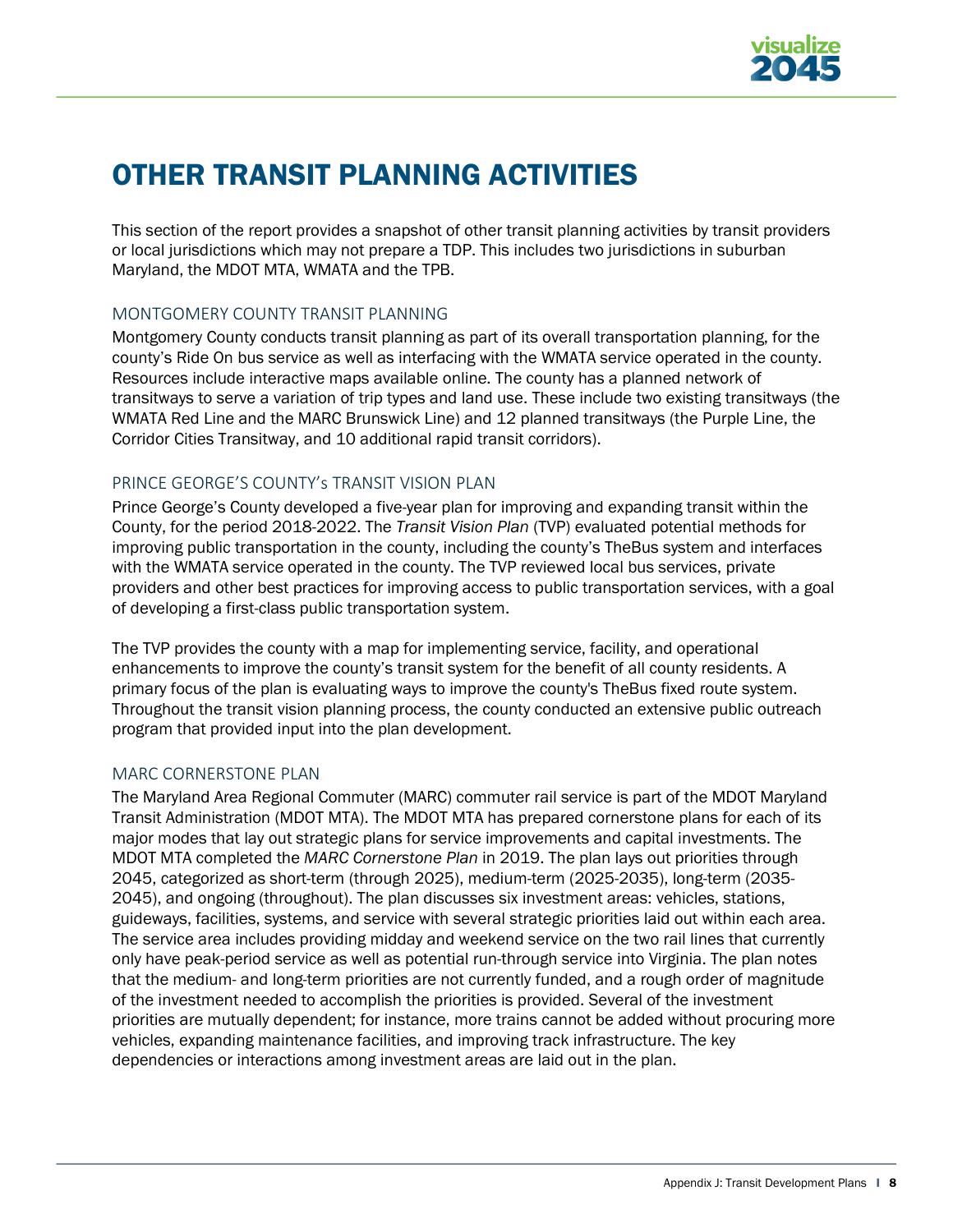

# OTHER TRANSIT PLANNING ACTIVITIES

This section of the report provides a snapshot of other transit planning activities by transit providers or local jurisdictions which may not prepare a TDP. This includes two jurisdictions in suburban Maryland, the MDOT MTA, WMATA and the TPB.

### MONTGOMERY COUNTY TRANSIT PLANNING

Montgomery County conducts [transit planning](https://montgomeryplanning.org/planning/transportation/transit-planning/) as part of its overall transportation planning, for the county's Ride On bus service as well as interfacing with the WMATA service operated in the county. Resources include interactive maps available [online.](https://montgomeryplanning.org/planning/transportation/transit-planning/) The county has a planned network of transitways to serve a variation of trip types and land use. These include two existing transitways (the WMATA Red Line and the MARC Brunswick Line) and 12 planned transitways (the Purple Line, the Corridor Cities Transitway, and 10 additional rapid transit corridors).

### PRINCE GEORGE'S COUNTY's TRANSIT VISION PLAN

Prince George's County developed a five-year plan for improving and expanding transit within the County, for the period [2018-2022.](https://www.princegeorgescountymd.gov/3170/Transit-Vision-Plan) The *[Transit Vision Plan](https://www.princegeorgescountymd.gov/DocumentCenter/View/26191/DPWT-Transit-Vision-Plan-2018-2022-Main-Report)* (TVP) evaluated potential methods for improving public transportation in the county, including the county's TheBus system and interfaces with the WMATA service operated in the county. The TVP reviewed local bus services, private providers and other best practices for improving access to public transportation services, with a goal of developing a first-class public transportation system.

The TVP provides the county with a map for implementing service, facility, and operational enhancements to improve the county's transit system for the benefit of all county residents. A primary focus of the plan is evaluating ways to improve the county's TheBus fixed route system. Throughout the transit vision planning process, the county conducted an extensive public outreach program that provided input into the plan development.

# MARC CORNERSTONE PLAN

The Maryland Area Regional Commuter (MARC) commuter rail service is part of the MDOT Maryland Transit Administration (MDOT MTA). The MDOT MTA has prepared cornerstone plans for each of its major modes that lay out strategic plans for service improvements and capital investments. The MDOT MTA completed the *[MARC Cornerstone Plan](https://s3.amazonaws.com/mta-website-staging/mta-website-staging/files/Transit%20Projects/Cornerstone/MCP_MARC.pdf)* in 2019. The plan lays out priorities through 2045, categorized as short-term (through 2025), medium-term (2025-2035), long-term (2035- 2045), and ongoing (throughout). The plan discusses six investment areas: vehicles, stations, guideways, facilities, systems, and service with several strategic priorities laid out within each area. The service area includes providing midday and weekend service on the two rail lines that currently only have peak-period service as well as potential run-through service into Virginia. The plan notes that the medium- and long-term priorities are not currently funded, and a rough order of magnitude of the investment needed to accomplish the priorities is provided. Several of the investment priorities are mutually dependent; for instance, more trains cannot be added without procuring more vehicles, expanding maintenance facilities, and improving track infrastructure. The key dependencies or interactions among investment areas are laid out in the plan.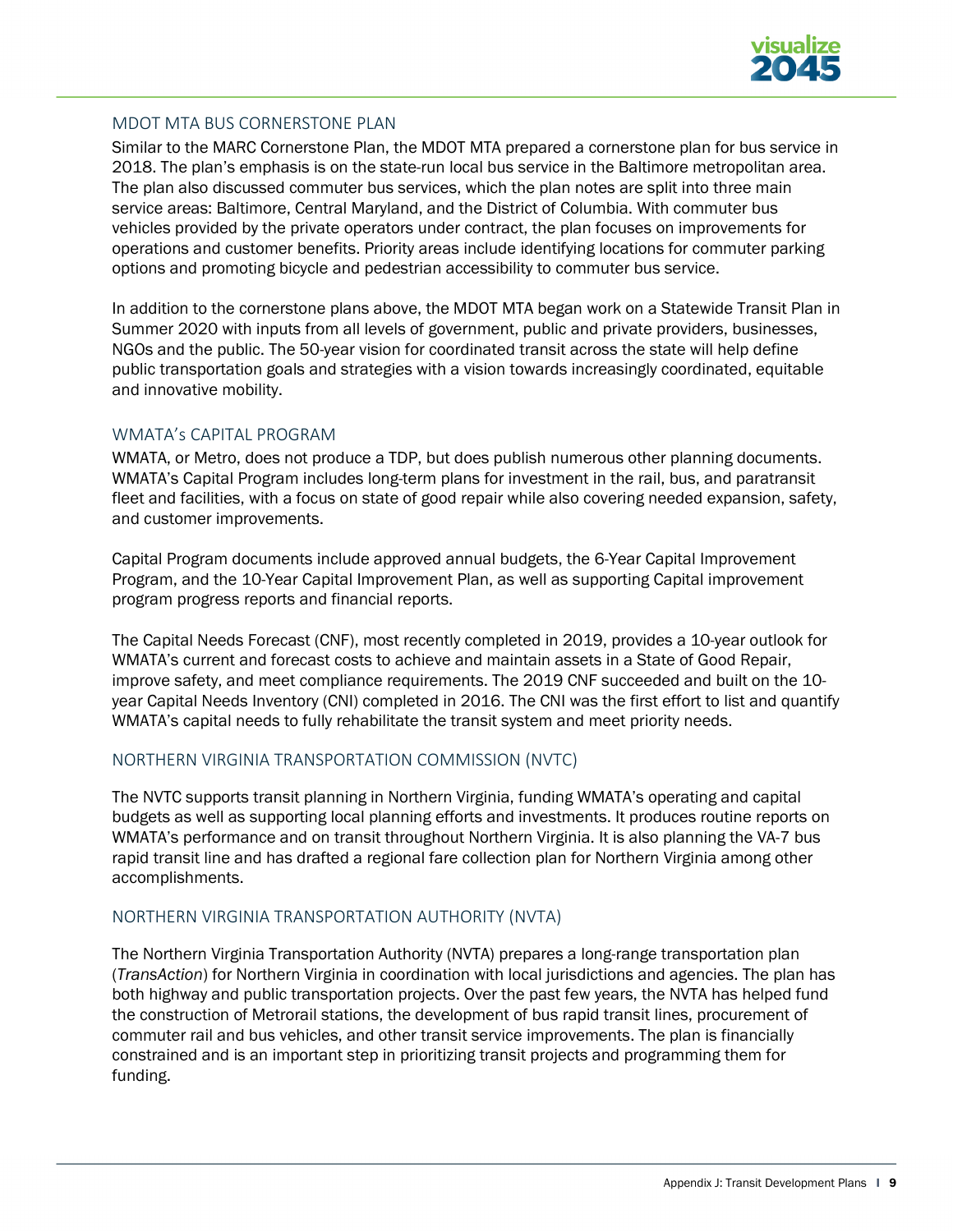

### MDOT MTA BUS CORNERSTONE PLAN

Similar to the MARC Cornerstone Plan, the MDOT MTA prepared a [cornerstone plan for bus](https://s3.amazonaws.com/mta-website-staging/mta-website-staging/files/Transit%20Projects/Cornerstone/BCP_Bus.pdf) service in 2018. The plan's emphasis is on the state-run local bus service in the Baltimore metropolitan area. The plan also discussed commuter bus services, which the plan notes are split into three main service areas: Baltimore, Central Maryland, and the District of Columbia. With commuter bus vehicles provided by the private operators under contract, the plan focuses on improvements for operations and customer benefits. Priority areas include identifying locations for commuter parking options and promoting bicycle and pedestrian accessibility to commuter bus service.

In addition to the cornerstone plans above, the MDOT MTA began work on a [Statewide Transit Plan](https://www.mta.maryland.gov/statewide-plan) in Summer 2020 with inputs from all levels of government, public and private providers, businesses, NGOs and the public. The 50-year vision for coordinated transit across the state will help define public transportation goals and strategies with a vision towards increasingly coordinated, equitable and innovative mobility.

#### WMATA's CAPITAL PROGRAM

WMATA, or Metro, does not produce a TDP, but does publish numerous other planning documents. [WMATA's Capital Program](https://www.wmata.com/initiatives/plans/) includes long-term plans for investment in the rail, bus, and paratransit fleet and facilities, with a focus on state of good repair while also covering needed expansion, safety, and customer improvements.

[Capital Program](https://www.wmata.com/initiatives/plans/) documents include approved annual budgets, the 6-Year Capital Improvement Program, and the 10-Year Capital Improvement Plan, as well as supporting Capital improvement program progress reports and financial reports.

The Capital Needs Forecast (CNF), most recently completed in 2019, provides a 10-year outlook for WMATA's current and forecast costs to achieve and maintain assets in a State of Good Repair, improve safety, and meet compliance requirements. The 2019 CNF succeeded and built on the 10 year Capital Needs Inventory (CNI) completed in 2016. The CNI was the first effort to list and quantify WMATA's capital needs to fully rehabilitate the transit system and meet priority needs.

#### NORTHERN VIRGINIA TRANSPORTATION COMMISSION (NVTC)

The NVTC support[s transit planning](https://novatransit.org/resources/completed-studies-archive/) in Northern Virginia, funding WMATA's operating and capital budgets as well as supporting local planning efforts and investments. It produces routine reports on WMATA's performance and on transit throughout Northern Virginia. It is also planning the VA-7 bus rapid transit line and has drafted a regional fare collection plan for Northern Virginia among other accomplishments.

# NORTHERN VIRGINIA TRANSPORTATION AUTHORITY (NVTA)

The Northern Virginia Transportation Authority (NVTA) prepares a long-range transportation plan (*[TransAction](https://nvtatransaction.org/)*) for Northern Virginia in coordination with local jurisdictions and agencies. The plan has both highway and public transportation projects. Over the past few years, the NVTA has helped fund the construction of Metrorail stations, the development of bus rapid transit lines, procurement of commuter rail and bus vehicles, and other transit service improvements. The plan is financially constrained and is an important step in prioritizing transit projects and programming them for funding.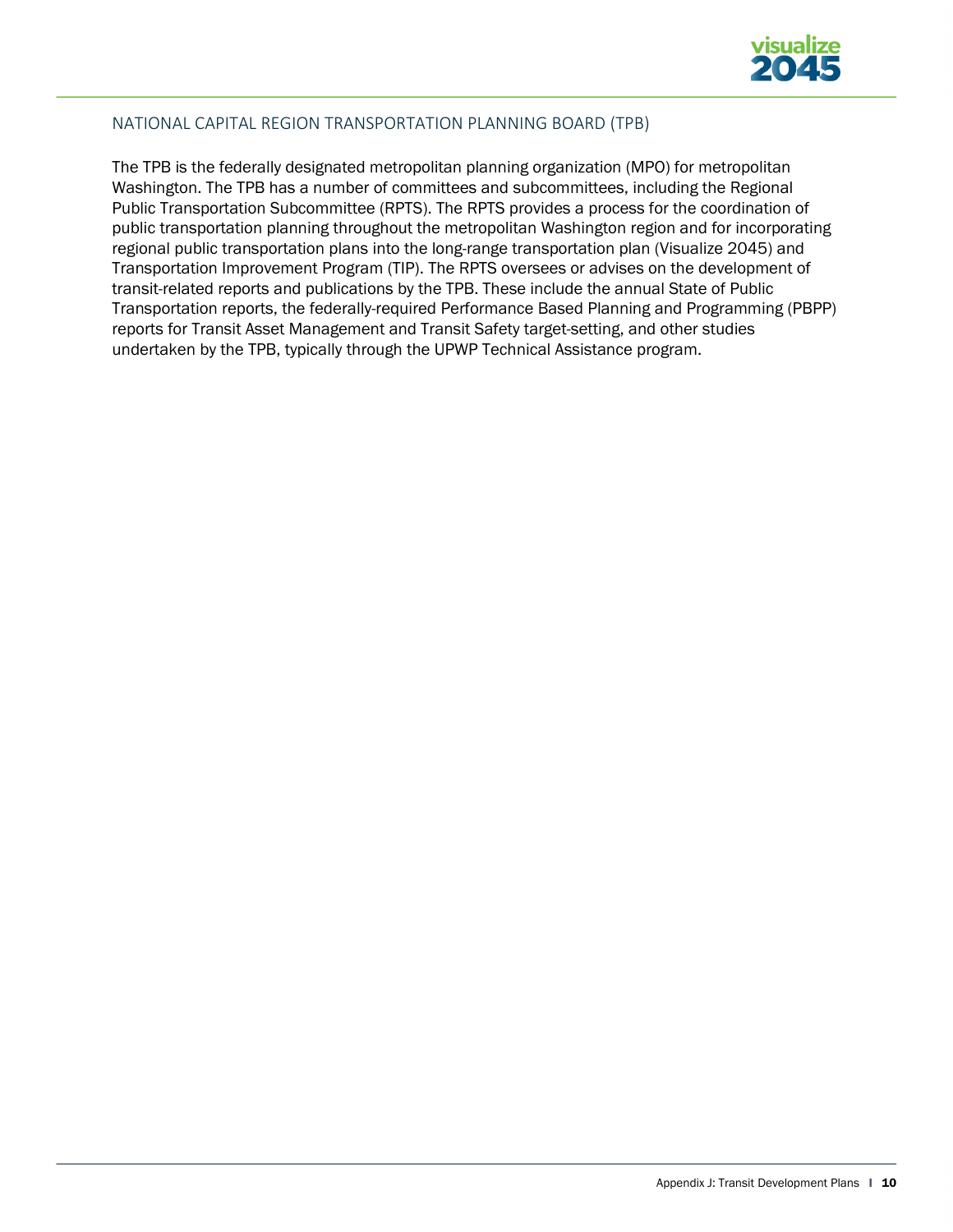

# NATIONAL CAPITAL REGION TRANSPORTATION PLANNING BOARD (TPB)

The TPB is the federally designated metropolitan planning organization (MPO) for metropolitan Washington. The TPB has a number of committees and subcommittees, including the [Regional](https://www.mwcog.org/committees/regional-public-transportation-subcommittee/)  [Public Transportation Subcommittee \(RPTS\).](https://www.mwcog.org/committees/regional-public-transportation-subcommittee/) The RPTS provides a process for the coordination of public transportation planning throughout the metropolitan Washington region and for incorporating regional public transportation plans into the long-range transportation plan (Visualize 2045) and Transportation Improvement Program (TIP). The RPTS oversees or advises on the development of transit-related reports and publications by the TPB. These include the annual State of Public Transportation reports, the federally-required Performance Based Planning and Programming (PBPP) reports for Transit Asset Management and Transit Safety target-setting, and other studies undertaken by the TPB, typically through the UPWP Technical Assistance program.